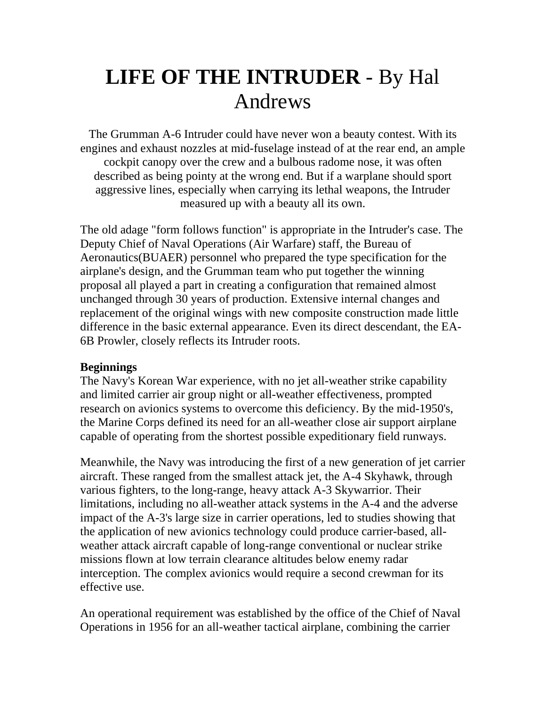## **LIFE OF THE INTRUDER** - By Hal Andrews

The Grumman A-6 Intruder could have never won a beauty contest. With its engines and exhaust nozzles at mid-fuselage instead of at the rear end, an ample cockpit canopy over the crew and a bulbous radome nose, it was often described as being pointy at the wrong end. But if a warplane should sport aggressive lines, especially when carrying its lethal weapons, the Intruder measured up with a beauty all its own.

The old adage "form follows function" is appropriate in the Intruder's case. The Deputy Chief of Naval Operations (Air Warfare) staff, the Bureau of Aeronautics(BUAER) personnel who prepared the type specification for the airplane's design, and the Grumman team who put together the winning proposal all played a part in creating a configuration that remained almost unchanged through 30 years of production. Extensive internal changes and replacement of the original wings with new composite construction made little difference in the basic external appearance. Even its direct descendant, the EA-6B Prowler, closely reflects its Intruder roots.

## **Beginnings**

The Navy's Korean War experience, with no jet all-weather strike capability and limited carrier air group night or all-weather effectiveness, prompted research on avionics systems to overcome this deficiency. By the mid-1950's, the Marine Corps defined its need for an all-weather close air support airplane capable of operating from the shortest possible expeditionary field runways.

Meanwhile, the Navy was introducing the first of a new generation of jet carrier aircraft. These ranged from the smallest attack jet, the A-4 Skyhawk, through various fighters, to the long-range, heavy attack A-3 Skywarrior. Their limitations, including no all-weather attack systems in the A-4 and the adverse impact of the A-3's large size in carrier operations, led to studies showing that the application of new avionics technology could produce carrier-based, allweather attack aircraft capable of long-range conventional or nuclear strike missions flown at low terrain clearance altitudes below enemy radar interception. The complex avionics would require a second crewman for its effective use.

An operational requirement was established by the office of the Chief of Naval Operations in 1956 for an all-weather tactical airplane, combining the carrier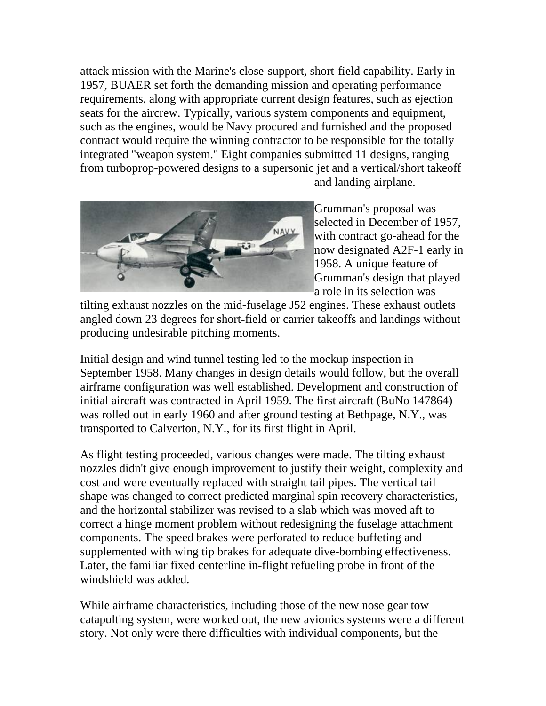attack mission with the Marine's close-support, short-field capability. Early in 1957, BUAER set forth the demanding mission and operating performance requirements, along with appropriate current design features, such as ejection seats for the aircrew. Typically, various system components and equipment, such as the engines, would be Navy procured and furnished and the proposed contract would require the winning contractor to be responsible for the totally integrated "weapon system." Eight companies submitted 11 designs, ranging from turboprop-powered designs to a supersonic jet and a vertical/short takeoff



and landing airplane.

[Grumman's proposal was](http://www.geocities.com/Pentagon/Bunker/7316/tiltexhaust.jpg)  [selected in December of 1957,](http://www.geocities.com/Pentagon/Bunker/7316/tiltexhaust.jpg)  [with contract go-ahead for the](http://www.geocities.com/Pentagon/Bunker/7316/tiltexhaust.jpg)  [now designated A2F-1 early in](http://www.geocities.com/Pentagon/Bunker/7316/tiltexhaust.jpg)  [1958. A unique feature of](http://www.geocities.com/Pentagon/Bunker/7316/tiltexhaust.jpg)  [Grumman's design that played](http://www.geocities.com/Pentagon/Bunker/7316/tiltexhaust.jpg)  [a role in its selection was](http://www.geocities.com/Pentagon/Bunker/7316/tiltexhaust.jpg) 

[angled down 23 degrees for short-field or carrier takeoffs and landings w](http://www.geocities.com/Pentagon/Bunker/7316/tiltexhaust.jpg)ithout [tilting exhaust nozzles on the mid-fuselage J52 engines. These exhaust outlets](http://www.geocities.com/Pentagon/Bunker/7316/tiltexhaust.jpg)  [producing undesirable pitching moments.](http://www.geocities.com/Pentagon/Bunker/7316/tiltexhaust.jpg) 

Initial design and wind tunnel testing led to the mockup inspection in September 1958. Many changes in design details would follow, but the overall airframe configuration was well established. Development and construction of initial aircraft was contracted in April 1959. The first aircraft (BuNo 147864) was rolled out in early 1960 and after ground testing at Bethpage, N.Y., was transported to Calverton, N.Y., for its first flight in April.

As flight testing proceeded, various changes were made. The tilting exhaust nozzles didn't give enough improvement to justify their weight, complexity and cost and were eventually replaced with straight tail pipes. The vertical tail shape was changed to correct predicted marginal spin recovery characteristics, and the horizontal stabilizer was revised to a slab which was moved aft to correct a hinge moment problem without redesigning the fuselage attachment components. The speed brakes were perforated to reduce buffeting and supplemented with wing tip brakes for adequate dive-bombing effectiveness. Later, the familiar fixed centerline in-flight refueling probe in front of the windshield was added.

While airframe characteristics, including those of the new nose gear tow catapulting system, were worked out, the new avionics systems were a different story. Not only were there difficulties with individual components, but the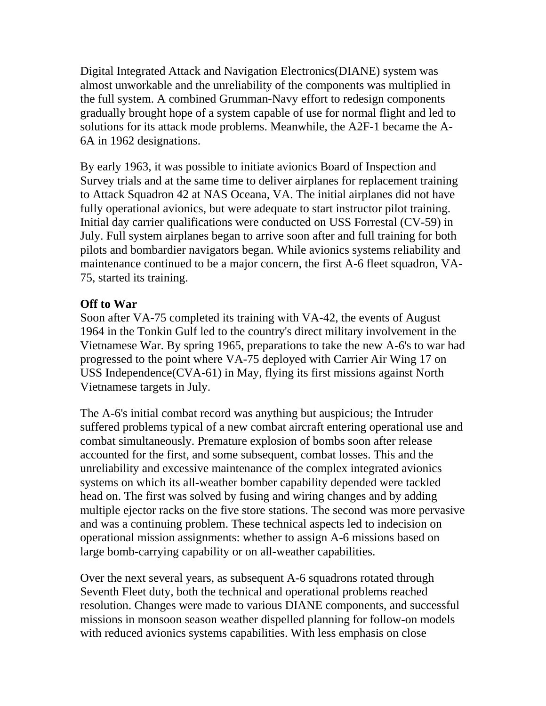Digital Integrated Attack and Navigation Electronics(DIANE) system was almost unworkable and the unreliability of the components was multiplied in the full system. A combined Grumman-Navy effort to redesign components gradually brought hope of a system capable of use for normal flight and led to solutions for its attack mode problems. Meanwhile, the A2F-1 became the A-6A in 1962 designations.

By early 1963, it was possible to initiate avionics Board of Inspection and Survey trials and at the same time to deliver airplanes for replacement training to Attack Squadron 42 at NAS Oceana, VA. The initial airplanes did not have fully operational avionics, but were adequate to start instructor pilot training. Initial day carrier qualifications were conducted on USS Forrestal (CV-59) in July. Full system airplanes began to arrive soon after and full training for both pilots and bombardier navigators began. While avionics systems reliability and maintenance continued to be a major concern, the first A-6 fleet squadron, VA-75, started its training.

## **Off to War**

Soon after VA-75 completed its training with VA-42, the events of August 1964 in the Tonkin Gulf led to the country's direct military involvement in the Vietnamese War. By spring 1965, preparations to take the new A-6's to war had progressed to the point where VA-75 deployed with Carrier Air Wing 17 on USS Independence(CVA-61) in May, flying its first missions against North Vietnamese targets in July.

The A-6's initial combat record was anything but auspicious; the Intruder suffered problems typical of a new combat aircraft entering operational use and combat simultaneously. Premature explosion of bombs soon after release accounted for the first, and some subsequent, combat losses. This and the unreliability and excessive maintenance of the complex integrated avionics systems on which its all-weather bomber capability depended were tackled head on. The first was solved by fusing and wiring changes and by adding multiple ejector racks on the five store stations. The second was more pervasive and was a continuing problem. These technical aspects led to indecision on operational mission assignments: whether to assign A-6 missions based on large bomb-carrying capability or on all-weather capabilities.

Over the next several years, as subsequent A-6 squadrons rotated through Seventh Fleet duty, both the technical and operational problems reached resolution. Changes were made to various DIANE components, and successful missions in monsoon season weather dispelled planning for follow-on models with reduced avionics systems capabilities. With less emphasis on close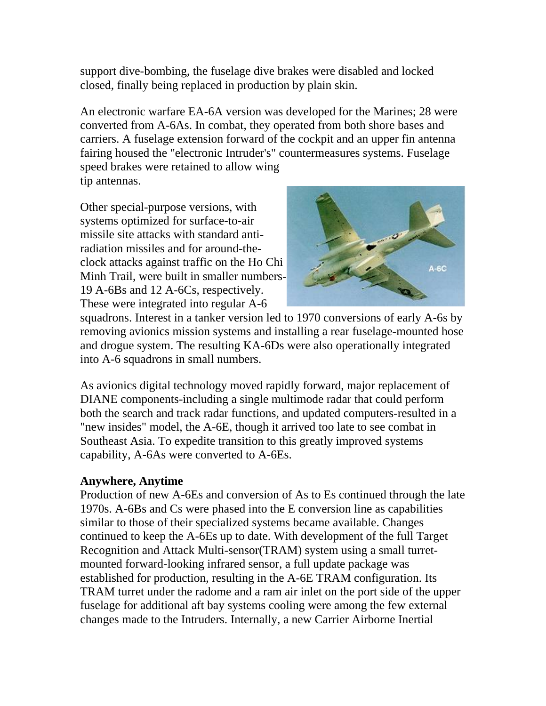support dive-bombing, the fuselage dive brakes were disabled and locked closed, finally being replaced in production by plain skin.

An electronic warfare EA-6A version was developed for the Marines; 28 were converted from A-6As. In combat, they operated from both shore bases and carriers. A fuselage extension forward of the cockpit and an upper fin antenna fairing housed the "electronic Intruder's" countermeasures systems. Fuselage speed brakes were retained to allow wing tip antennas.

Minh Trail, were built in smaller numbers-Other special-purpose versions, with systems optimized for surface-to-air missile site attacks with standard antiradiation missiles and for around-theclock attacks against traffic on the Ho Chi 19 A-6Bs and 12 A-6Cs, respectively. These were integrated into regular A-6



and drogue system. The resulting KA-6Ds were also operationally integrated into A-6 squadrons in small numbers. squadrons. Interest in a tanker version led to 1970 conversions of early A-6s by removing avionics mission systems and installing a rear fuselage-mounted hose

both the search and track radar functions, and updated computers-resulted in a "new insides" model, the A-6E, though it arrived too late to see combat in Southeast Asia. To expedite transition to this greatly improved systems capability, A-6As were converted to A-6Es. As avionics digital technology moved rapidly forward, major replacement of DIANE components-including a single multimode radar that could perform

## **Anywhere, Anytime**

Production of new A-6Es and conversion of As to Es continued through the late 1970s. A-6Bs and Cs were phased into the E conversion line as capabilities continued to keep the A-6Es up to date. With development of the full Target Recognition and Attack Multi-sensor(TRAM) system using a small turret-TRAM turret under the radome and a ram air inlet on the port side of the upper fuselage for additional aft bay systems cooling were among the few external similar to those of their specialized systems became available. Changes mounted forward-looking infrared sensor, a full update package was established for production, resulting in the A-6E TRAM configuration. Its changes made to the Intruders. Internally, a new Carrier Airborne Inertial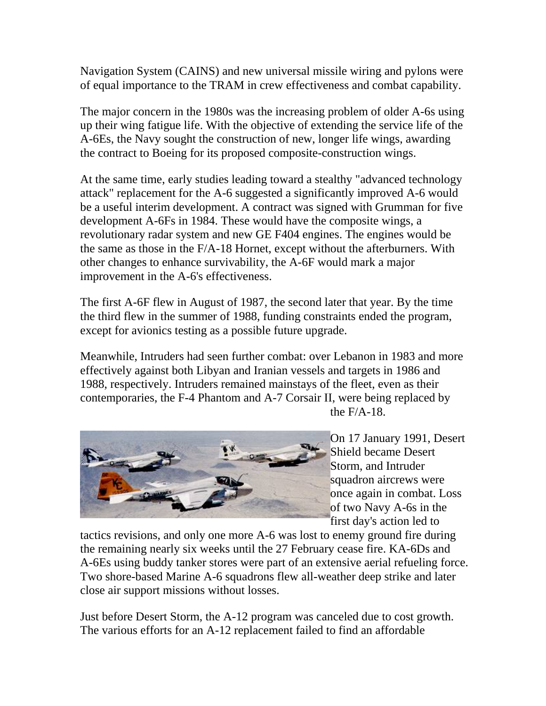Navigation System (CAINS) and new universal missile wiring and pylons were of equal importance to the TRAM in crew effectiveness and combat capability.

The major concern in the 1980s was the increasing problem of older A-6s using up their wing fatigue life. With the objective of extending the service life of the A-6Es, the Navy sought the construction of new, longer life wings, awarding the contract to Boeing for its proposed composite-construction wings.

At the same time, early studies leading toward a stealthy "advanced technology revolutionary radar system and new GE F404 engines. The engines would be the same as those in the F/A-18 Hornet, except without the afterburners. With attack" replacement for the A-6 suggested a significantly improved A-6 would be a useful interim development. A contract was signed with Grumman for five development A-6Fs in 1984. These would have the composite wings, a other changes to enhance survivability, the A-6F would mark a major improvement in the A-6's effectiveness.

The first A-6F flew in August of 1987, the second later that year. By the time the third flew in the summer of 1988, funding constraints ended the program, except for avionics testing as a possible future upgrade.

effectively against both Libyan and Iranian vessels and targets in 1986 and 1988, respectively. Intruders remained mainstays of the fleet, even as their Meanwhile, Intruders had seen further combat: over Lebanon in 1983 and more contemporaries, the F-4 Phantom and A-7 Corsair II, were being replaced by the F/A-18.



On 17 January 1991, Desert Shield became Desert Storm, and Intruder squadron aircrews were once again in combat. Loss of two Navy A-6s in the first day's action led to

the remaining nearly six weeks until the 27 February cease fire. KA-6Ds and A-6Es using buddy tanker stores were part of an extensive aerial refueling force. tactics revisions, and only one more A-6 was lost to enemy ground fire during Two shore-based Marine A-6 squadrons flew all-weather deep strike and later close air support missions without losses.

Just before Desert Storm, the A-12 program was canceled due to cost growth. The various efforts for an A-12 replacement failed to find an affordable